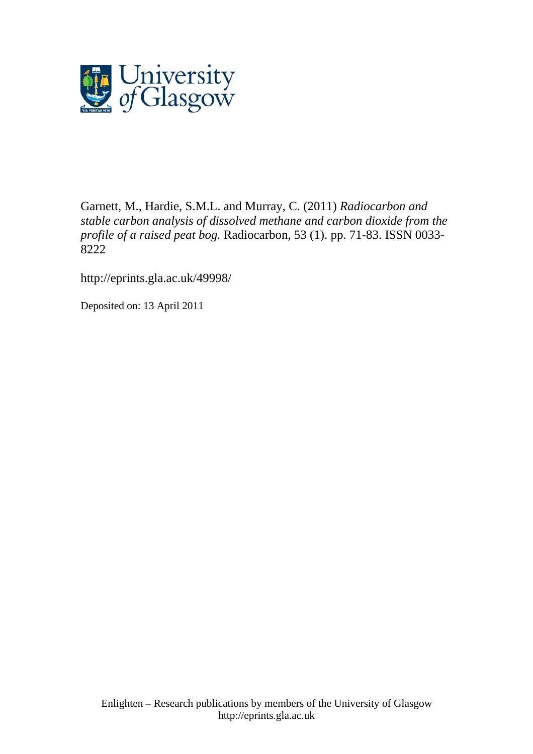

[Garnett, M.,](http://eprints.gla.ac.uk/view/author/9257.html) Hardie, S.M.L. and [Murray, C.](http://eprints.gla.ac.uk/view/author/3098.html) (2011) *Radiocarbon and stable carbon analysis of dissolved methane and carbon dioxide from the profile of a raised peat bog.* [Radiocarbon](http://eprints.gla.ac.uk/view/journal_volume/Radiocarbon.html), 53 (1). pp. 71-83. ISSN 0033- 8222

http://eprints.gla.ac.uk/49998/

Deposited on: 13 April 2011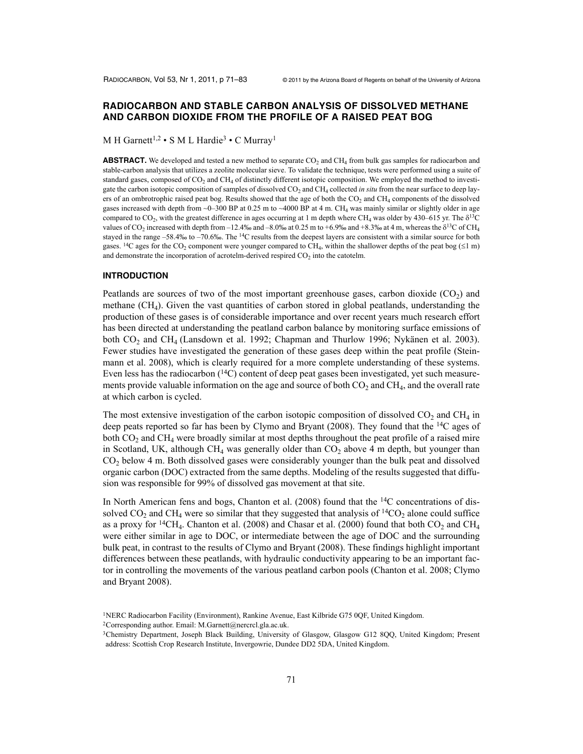# **RADIOCARBON AND STABLE CARBON ANALYSIS OF DISSOLVED METHANE AND CARBON DIOXIDE FROM THE PROFILE OF A RAISED PEAT BOG**

M H Garnett<sup>1,2</sup> • S M L Hardie<sup>3</sup> • C Murray<sup>1</sup>

**ABSTRACT.** We developed and tested a new method to separate  $CO<sub>2</sub>$  and  $CH<sub>4</sub>$  from bulk gas samples for radiocarbon and stable-carbon analysis that utilizes a zeolite molecular sieve. To validate the technique, tests were performed using a suite of standard gases, composed of  $CO<sub>2</sub>$  and  $CH<sub>4</sub>$  of distinctly different isotopic composition. We employed the method to investigate the carbon isotopic composition of samples of dissolved CO<sub>2</sub> and CH<sub>4</sub> collected *in situ* from the near surface to deep layers of an ombrotrophic raised peat bog. Results showed that the age of both the  $CO<sub>2</sub>$  and  $CH<sub>4</sub>$  components of the dissolved gases increased with depth from  $\sim$ 0–300 BP at 0.25 m to  $\sim$ 4000 BP at 4 m. CH<sub>4</sub> was mainly similar or slightly older in age compared to  $CO_2$ , with the greatest difference in ages occurring at 1 m depth where CH<sub>4</sub> was older by 430–615 yr. The  $\delta^{13}C$ values of CO<sub>2</sub> increased with depth from –12.4‰ and –8.0‰ at 0.25 m to +6.9‰ and +8.3‰ at 4 m, whereas the  $\delta^{13}C$  of CH<sub>4</sub> stayed in the range –58.4‰ to –70.6‰. The <sup>14</sup>C results from the deepest layers are consistent with a similar source for both gases. <sup>14</sup>C ages for the CO<sub>2</sub> component were younger compared to CH<sub>4</sub>, within the shallower depths of the peat bog ( $\leq 1$  m) and demonstrate the incorporation of acrotelm-derived respired  $CO<sub>2</sub>$  into the catotelm.

#### **INTRODUCTION**

Peatlands are sources of two of the most important greenhouse gases, carbon dioxide  $(CO<sub>2</sub>)$  and methane  $(CH<sub>4</sub>)$ . Given the vast quantities of carbon stored in global peatlands, understanding the production of these gases is of considerable importance and over recent years much research effort has been directed at understanding the peatland carbon balance by monitoring surface emissions of both CO<sub>2</sub> and CH<sub>4</sub> (Lansdown et al. 1992; Chapman and Thurlow 1996; Nykänen et al. 2003). Fewer studies have investigated the generation of these gases deep within the peat profile (Steinmann et al. 2008), which is clearly required for a more complete understanding of these systems. Even less has the radiocarbon  $(14)$  content of deep peat gases been investigated, yet such measurements provide valuable information on the age and source of both  $CO<sub>2</sub>$  and  $CH<sub>4</sub>$ , and the overall rate at which carbon is cycled.

The most extensive investigation of the carbon isotopic composition of dissolved  $CO<sub>2</sub>$  and  $CH<sub>4</sub>$  in deep peats reported so far has been by Clymo and Bryant (2008). They found that the <sup>14</sup>C ages of both  $CO<sub>2</sub>$  and  $CH<sub>4</sub>$  were broadly similar at most depths throughout the peat profile of a raised mire in Scotland, UK, although CH<sub>4</sub> was generally older than  $CO<sub>2</sub>$  above 4 m depth, but younger than CO2 below 4 m. Both dissolved gases were considerably younger than the bulk peat and dissolved organic carbon (DOC) extracted from the same depths. Modeling of the results suggested that diffusion was responsible for 99% of dissolved gas movement at that site.

In North American fens and bogs, Chanton et al.  $(2008)$  found that the  $14C$  concentrations of dissolved  $CO_2$  and  $CH_4$  were so similar that they suggested that analysis of  ${}^{14}CO_2$  alone could suffice as a proxy for <sup>14</sup>CH<sub>4</sub>. Chanton et al. (2008) and Chasar et al. (2000) found that both  $CO_2$  and CH<sub>4</sub> were either similar in age to DOC, or intermediate between the age of DOC and the surrounding bulk peat, in contrast to the results of Clymo and Bryant (2008). These findings highlight important differences between these peatlands, with hydraulic conductivity appearing to be an important factor in controlling the movements of the various peatland carbon pools (Chanton et al. 2008; Clymo and Bryant 2008).

<sup>1</sup>NERC Radiocarbon Facility (Environment), Rankine Avenue, East Kilbride G75 0QF, United Kingdom.

<sup>2</sup>Corresponding author. Email: M.Garnett@nercrcl.gla.ac.uk.

<sup>3</sup>Chemistry Department, Joseph Black Building, University of Glasgow, Glasgow G12 8QQ, United Kingdom; Present address: Scottish Crop Research Institute, Invergowrie, Dundee DD2 5DA, United Kingdom.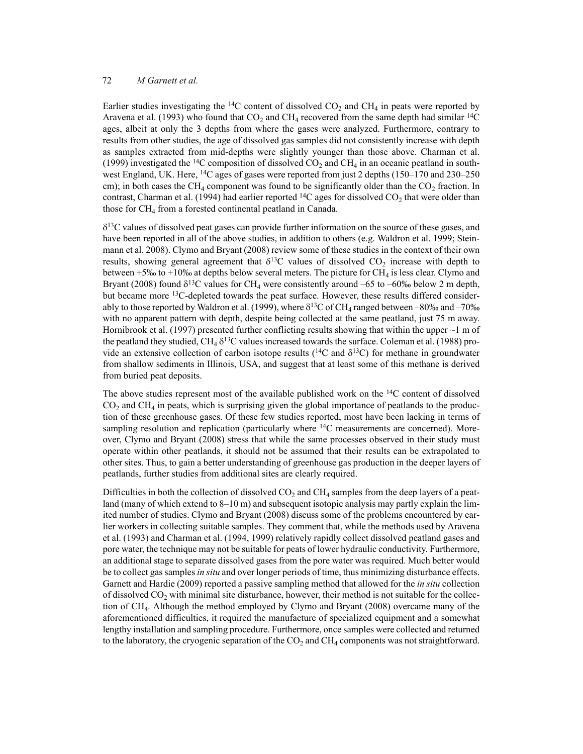Earlier studies investigating the <sup>14</sup>C content of dissolved  $CO<sub>2</sub>$  and CH<sub>4</sub> in peats were reported by Aravena et al. (1993) who found that  $CO_2$  and  $CH_4$  recovered from the same depth had similar <sup>14</sup>C ages, albeit at only the 3 depths from where the gases were analyzed. Furthermore, contrary to results from other studies, the age of dissolved gas samples did not consistently increase with depth as samples extracted from mid-depths were slightly younger than those above. Charman et al. (1999) investigated the <sup>14</sup>C composition of dissolved  $CO_2$  and  $CH_4$  in an oceanic peatland in southwest England, UK. Here, <sup>14</sup>C ages of gases were reported from just 2 depths (150–170 and 230–250) cm); in both cases the CH<sub>4</sub> component was found to be significantly older than the  $CO<sub>2</sub>$  fraction. In contrast, Charman et al. (1994) had earlier reported  ${}^{14}C$  ages for dissolved  $CO_2$  that were older than those for CH<sub>4</sub> from a forested continental peatland in Canada.

 $\delta^{13}$ C values of dissolved peat gases can provide further information on the source of these gases, and have been reported in all of the above studies, in addition to others (e.g. Waldron et al. 1999; Steinmann et al. 2008). Clymo and Bryant (2008) review some of these studies in the context of their own results, showing general agreement that  $\delta^{13}C$  values of dissolved  $CO_2$  increase with depth to between  $+5\%$  to  $+10\%$  at depths below several meters. The picture for CH<sub>4</sub> is less clear. Clymo and Bryant (2008) found  $\delta^{13}C$  values for CH<sub>4</sub> were consistently around –65 to –60‰ below 2 m depth, but became more 13C-depleted towards the peat surface. However, these results differed considerably to those reported by Waldron et al. (1999), where  $\delta^{13}$ C of CH<sub>4</sub> ranged between –80‰ and –70‰ with no apparent pattern with depth, despite being collected at the same peatland, just 75 m away. Hornibrook et al. (1997) presented further conflicting results showing that within the upper  $\sim$  1 m of the peatland they studied,  $CH_4 \delta^{13}C$  values increased towards the surface. Coleman et al. (1988) provide an extensive collection of carbon isotope results ( $^{14}C$  and  $\delta^{13}C$ ) for methane in groundwater from shallow sediments in Illinois, USA, and suggest that at least some of this methane is derived from buried peat deposits.

The above studies represent most of the available published work on the  ${}^{14}C$  content of dissolved  $CO<sub>2</sub>$  and CH<sub>4</sub> in peats, which is surprising given the global importance of peatlands to the production of these greenhouse gases. Of these few studies reported, most have been lacking in terms of sampling resolution and replication (particularly where <sup>14</sup>C measurements are concerned). Moreover, Clymo and Bryant (2008) stress that while the same processes observed in their study must operate within other peatlands, it should not be assumed that their results can be extrapolated to other sites. Thus, to gain a better understanding of greenhouse gas production in the deeper layers of peatlands, further studies from additional sites are clearly required.

Difficulties in both the collection of dissolved  $CO<sub>2</sub>$  and CH<sub>4</sub> samples from the deep layers of a peatland (many of which extend to 8–10 m) and subsequent isotopic analysis may partly explain the limited number of studies. Clymo and Bryant (2008) discuss some of the problems encountered by earlier workers in collecting suitable samples. They comment that, while the methods used by Aravena et al. (1993) and Charman et al. (1994, 1999) relatively rapidly collect dissolved peatland gases and pore water, the technique may not be suitable for peats of lower hydraulic conductivity. Furthermore, an additional stage to separate dissolved gases from the pore water was required. Much better would be to collect gas samples *in situ* and over longer periods of time, thus minimizing disturbance effects. Garnett and Hardie (2009) reported a passive sampling method that allowed for the *in situ* collection of dissolved  $CO<sub>2</sub>$  with minimal site disturbance, however, their method is not suitable for the collection of CH4. Although the method employed by Clymo and Bryant (2008) overcame many of the aforementioned difficulties, it required the manufacture of specialized equipment and a somewhat lengthy installation and sampling procedure. Furthermore, once samples were collected and returned to the laboratory, the cryogenic separation of the  $CO<sub>2</sub>$  and  $CH<sub>4</sub>$  components was not straightforward.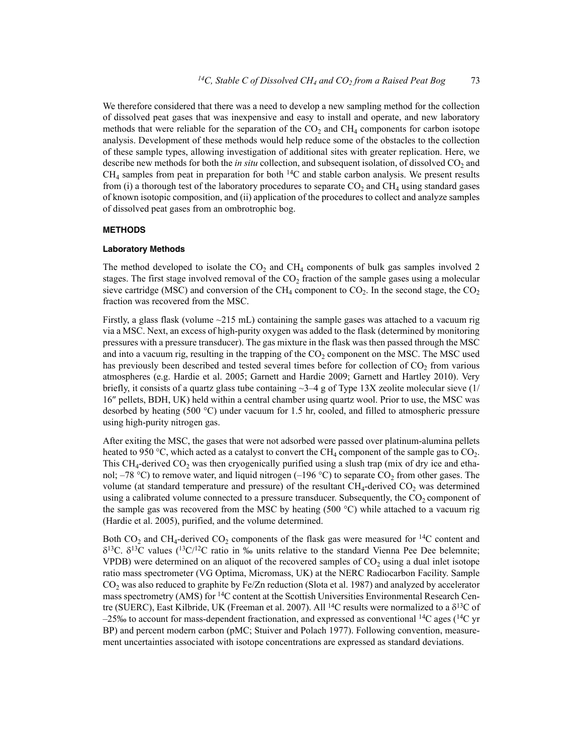We therefore considered that there was a need to develop a new sampling method for the collection of dissolved peat gases that was inexpensive and easy to install and operate, and new laboratory methods that were reliable for the separation of the  $CO<sub>2</sub>$  and  $CH<sub>4</sub>$  components for carbon isotope analysis. Development of these methods would help reduce some of the obstacles to the collection of these sample types, allowing investigation of additional sites with greater replication. Here, we describe new methods for both the *in situ* collection, and subsequent isolation, of dissolved CO<sub>2</sub> and  $CH<sub>4</sub>$  samples from peat in preparation for both  $^{14}C$  and stable carbon analysis. We present results from (i) a thorough test of the laboratory procedures to separate  $CO<sub>2</sub>$  and  $CH<sub>4</sub>$  using standard gases of known isotopic composition, and (ii) application of the procedures to collect and analyze samples of dissolved peat gases from an ombrotrophic bog.

### **METHODS**

### **Laboratory Methods**

The method developed to isolate the  $CO<sub>2</sub>$  and  $CH<sub>4</sub>$  components of bulk gas samples involved 2 stages. The first stage involved removal of the  $CO<sub>2</sub>$  fraction of the sample gases using a molecular sieve cartridge (MSC) and conversion of the CH<sub>4</sub> component to  $CO<sub>2</sub>$ . In the second stage, the  $CO<sub>2</sub>$ fraction was recovered from the MSC.

Firstly, a glass flask (volume  $\sim$ 215 mL) containing the sample gases was attached to a vacuum rig via a MSC. Next, an excess of high-purity oxygen was added to the flask (determined by monitoring pressures with a pressure transducer). The gas mixture in the flask was then passed through the MSC and into a vacuum rig, resulting in the trapping of the  $CO<sub>2</sub>$  component on the MSC. The MSC used has previously been described and tested several times before for collection of  $CO<sub>2</sub>$  from various atmospheres (e.g. Hardie et al. 2005; Garnett and Hardie 2009; Garnett and Hartley 2010). Very briefly, it consists of a quartz glass tube containing  $\sim$ 3–4 g of Type 13X zeolite molecular sieve (1/ 16" pellets, BDH, UK) held within a central chamber using quartz wool. Prior to use, the MSC was desorbed by heating (500 °C) under vacuum for 1.5 hr, cooled, and filled to atmospheric pressure using high-purity nitrogen gas.

After exiting the MSC, the gases that were not adsorbed were passed over platinum-alumina pellets heated to 950 °C, which acted as a catalyst to convert the CH<sub>4</sub> component of the sample gas to  $CO<sub>2</sub>$ . This  $CH_4$ -derived  $CO_2$  was then cryogenically purified using a slush trap (mix of dry ice and ethanol; –78 °C) to remove water, and liquid nitrogen (–196 °C) to separate  $CO_2$  from other gases. The volume (at standard temperature and pressure) of the resultant  $CH_4$ -derived  $CO_2$  was determined using a calibrated volume connected to a pressure transducer. Subsequently, the  $CO<sub>2</sub>$  component of the sample gas was recovered from the MSC by heating (500  $^{\circ}$ C) while attached to a vacuum rig (Hardie et al. 2005), purified, and the volume determined.

Both  $CO_2$  and CH<sub>4</sub>-derived  $CO_2$  components of the flask gas were measured for <sup>14</sup>C content and  $\delta^{13}$ C.  $\delta^{13}$ C values ( $^{13}$ C/<sup>12</sup>C ratio in ‰ units relative to the standard Vienna Pee Dee belemnite; VPDB) were determined on an aliquot of the recovered samples of  $CO<sub>2</sub>$  using a dual inlet isotope ratio mass spectrometer (VG Optima, Micromass, UK) at the NERC Radiocarbon Facility. Sample  $CO<sub>2</sub>$  was also reduced to graphite by Fe/Zn reduction (Slota et al. 1987) and analyzed by accelerator mass spectrometry (AMS) for <sup>14</sup>C content at the Scottish Universities Environmental Research Centre (SUERC), East Kilbride, UK (Freeman et al. 2007). All <sup>14</sup>C results were normalized to a  $\delta^{13}$ C of  $-25\%$  to account for mass-dependent fractionation, and expressed as conventional <sup>14</sup>C ages (<sup>14</sup>C yr BP) and percent modern carbon (pMC; Stuiver and Polach 1977). Following convention, measurement uncertainties associated with isotope concentrations are expressed as standard deviations.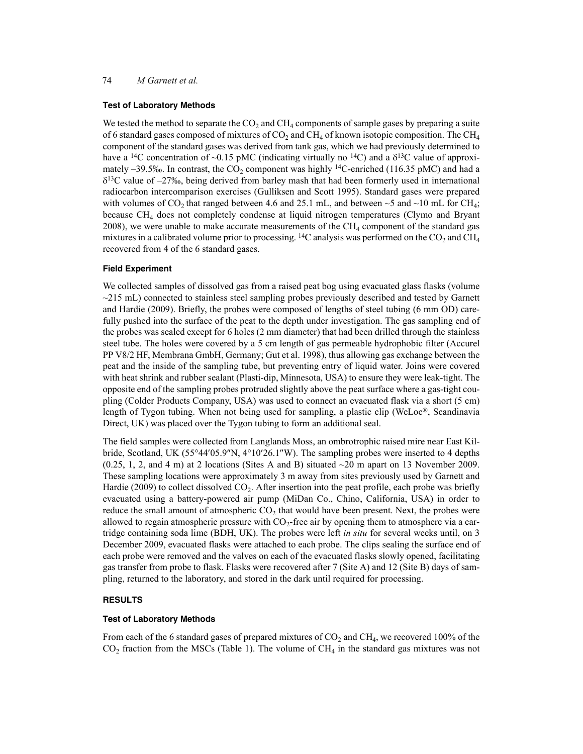### **Test of Laboratory Methods**

We tested the method to separate the  $CO<sub>2</sub>$  and  $CH<sub>4</sub>$  components of sample gases by preparing a suite of 6 standard gases composed of mixtures of  $CO<sub>2</sub>$  and  $CH<sub>4</sub>$  of known isotopic composition. The  $CH<sub>4</sub>$ component of the standard gases was derived from tank gas, which we had previously determined to have a <sup>14</sup>C concentration of ~0.15 pMC (indicating virtually no <sup>14</sup>C) and a  $\delta^{13}$ C value of approximately  $-39.5\%$ . In contrast, the CO<sub>2</sub> component was highly <sup>14</sup>C-enriched (116.35 pMC) and had a  $\delta^{13}$ C value of –27‰, being derived from barley mash that had been formerly used in international radiocarbon intercomparison exercises (Gulliksen and Scott 1995). Standard gases were prepared with volumes of CO<sub>2</sub> that ranged between 4.6 and 25.1 mL, and between  $\sim$  5 and  $\sim$ 10 mL for CH<sub>4</sub>; because CH4 does not completely condense at liquid nitrogen temperatures (Clymo and Bryant 2008), we were unable to make accurate measurements of the  $CH<sub>4</sub>$  component of the standard gas mixtures in a calibrated volume prior to processing. <sup>14</sup>C analysis was performed on the  $CO_2$  and CH<sub>4</sub> recovered from 4 of the 6 standard gases.

#### **Field Experiment**

We collected samples of dissolved gas from a raised peat bog using evacuated glass flasks (volume  $\sim$ 215 mL) connected to stainless steel sampling probes previously described and tested by Garnett and Hardie (2009). Briefly, the probes were composed of lengths of steel tubing (6 mm OD) carefully pushed into the surface of the peat to the depth under investigation. The gas sampling end of the probes was sealed except for 6 holes (2 mm diameter) that had been drilled through the stainless steel tube. The holes were covered by a 5 cm length of gas permeable hydrophobic filter (Accurel PP V8/2 HF, Membrana GmbH, Germany; Gut et al. 1998), thus allowing gas exchange between the peat and the inside of the sampling tube, but preventing entry of liquid water. Joins were covered with heat shrink and rubber sealant (Plasti-dip, Minnesota, USA) to ensure they were leak-tight. The opposite end of the sampling probes protruded slightly above the peat surface where a gas-tight coupling (Colder Products Company, USA) was used to connect an evacuated flask via a short (5 cm) length of Tygon tubing. When not being used for sampling, a plastic clip (WeLoc®, Scandinavia Direct, UK) was placed over the Tygon tubing to form an additional seal.

The field samples were collected from Langlands Moss, an ombrotrophic raised mire near East Kilbride, Scotland, UK  $(55^{\circ}44'05.9'N, 4^{\circ}10'26.1''W)$ . The sampling probes were inserted to 4 depths  $(0.25, 1, 2, \text{ and } 4 \text{ m})$  at 2 locations (Sites A and B) situated  $\sim$  20 m apart on 13 November 2009. These sampling locations were approximately 3 m away from sites previously used by Garnett and Hardie (2009) to collect dissolved  $CO<sub>2</sub>$ . After insertion into the peat profile, each probe was briefly evacuated using a battery-powered air pump (MiDan Co., Chino, California, USA) in order to reduce the small amount of atmospheric  $CO<sub>2</sub>$  that would have been present. Next, the probes were allowed to regain atmospheric pressure with  $CO<sub>2</sub>$ -free air by opening them to atmosphere via a cartridge containing soda lime (BDH, UK). The probes were left *in situ* for several weeks until, on 3 December 2009, evacuated flasks were attached to each probe. The clips sealing the surface end of each probe were removed and the valves on each of the evacuated flasks slowly opened, facilitating gas transfer from probe to flask. Flasks were recovered after 7 (Site A) and 12 (Site B) days of sampling, returned to the laboratory, and stored in the dark until required for processing.

#### **RESULTS**

### **Test of Laboratory Methods**

From each of the 6 standard gases of prepared mixtures of  $CO<sub>2</sub>$  and  $CH<sub>4</sub>$ , we recovered 100% of the  $CO<sub>2</sub>$  fraction from the MSCs (Table 1). The volume of CH<sub>4</sub> in the standard gas mixtures was not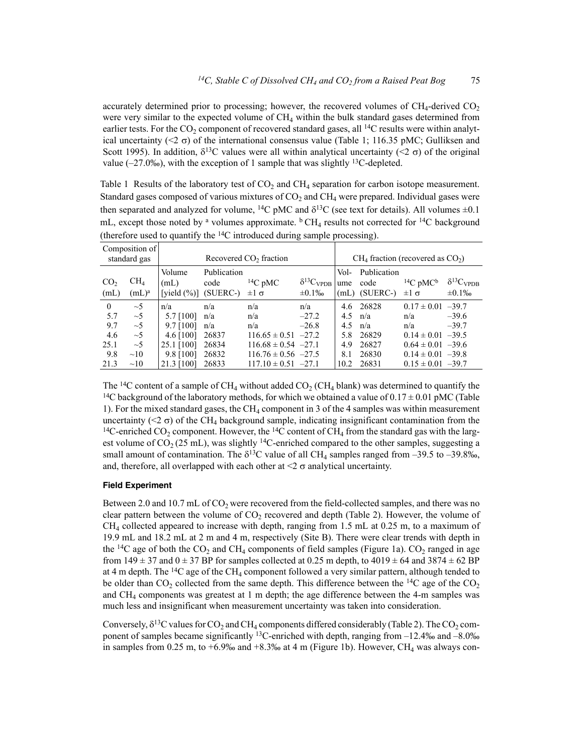accurately determined prior to processing; however, the recovered volumes of  $CH<sub>4</sub>$ -derived  $CO<sub>2</sub>$ were very similar to the expected volume of  $CH<sub>4</sub>$  within the bulk standard gases determined from earlier tests. For the  $CO_2$  component of recovered standard gases, all <sup>14</sup>C results were within analytical uncertainty (<2  $\sigma$ ) of the international consensus value (Table 1; 116.35 pMC; Gulliksen and Scott 1995). In addition,  $\delta^{13}C$  values were all within analytical uncertainty (<2  $\sigma$ ) of the original value  $(-27.0\%)$ , with the exception of 1 sample that was slightly <sup>13</sup>C-depleted.

Table 1 Results of the laboratory test of  $CO<sub>2</sub>$  and  $CH<sub>4</sub>$  separation for carbon isotope measurement. Standard gases composed of various mixtures of  $CO<sub>2</sub>$  and  $CH<sub>4</sub>$  were prepared. Individual gases were then separated and analyzed for volume, <sup>14</sup>C pMC and  $\delta^{13}C$  (see text for details). All volumes  $\pm 0.1$ mL, except those noted by <sup>a</sup> volumes approximate.  $\rm{^b}$  CH<sub>4</sub> results not corrected for <sup>14</sup>C background (therefore used to quantify the 14C introduced during sample processing).

| Composition of          |                                      |                                    |                                 |                         |                                      |             |                                      |                                  |                                      |  |
|-------------------------|--------------------------------------|------------------------------------|---------------------------------|-------------------------|--------------------------------------|-------------|--------------------------------------|----------------------------------|--------------------------------------|--|
| standard gas            |                                      | Recovered CO <sub>2</sub> fraction |                                 |                         |                                      |             | $CH4$ fraction (recovered as $CO2$ ) |                                  |                                      |  |
| CO <sub>2</sub><br>(mL) | CH <sub>4</sub><br>(mL) <sup>a</sup> | Volume<br>(mL)<br>[yield $(\%)$ ]  | Publication<br>code<br>(SUERC-) | $^{14}C$ pMC<br>$±1$ σ  | $\delta^{13}C_{VPDB}$<br>$\pm 0.1\%$ | Vol-<br>ume | Publication<br>code<br>(mL) (SUERC-) | $14C$ pMC <sup>b</sup><br>$±1$ σ | $\delta^{13}C_{VPDB}$<br>$\pm 0.1\%$ |  |
| $\theta$                | $\sim$ 5                             | n/a                                | n/a                             | n/a                     | n/a                                  | 4.6         | 26828                                | $0.17 \pm 0.01 -39.7$            |                                      |  |
| 5.7                     | $\sim$ 5                             | 5.7 [100]                          | n/a                             | n/a                     | $-27.2$                              | 4.5         | n/a                                  | n/a                              | $-39.6$                              |  |
| 9.7                     | $\sim$ 5                             | $9.7$ [100]                        | n/a                             | n/a                     | $-26.8$                              | 4.5         | n/a                                  | n/a                              | $-39.7$                              |  |
| 4.6                     | $\sim$ 5                             | 4.6 $[100]$                        | 26837                           | $116.65 \pm 0.51$ -27.2 |                                      | 5.8         | 26829                                | $0.14 \pm 0.01 -39.5$            |                                      |  |
| 25.1                    | $\sim$ 5                             | 25.1 [100]                         | 26834                           | $116.68 \pm 0.54$ -27.1 |                                      | 4.9         | 26827                                | $0.64 \pm 0.01 -39.6$            |                                      |  |
| 9.8                     | $\sim10$                             | 9.8 [100]                          | 26832                           | $116.76 \pm 0.56$ -27.5 |                                      | 8.1         | 26830                                | $0.14 \pm 0.01 -39.8$            |                                      |  |
| 21.3                    | $\sim10$                             | 21.3 [100]                         | 26833                           | $117.10 \pm 0.51$ -27.1 |                                      | 10.2        | 26831                                | $0.15 \pm 0.01 -39.7$            |                                      |  |

The <sup>14</sup>C content of a sample of CH<sub>4</sub> without added  $CO<sub>2</sub>$  (CH<sub>4</sub> blank) was determined to quantify the <sup>14</sup>C background of the laboratory methods, for which we obtained a value of  $0.17 \pm 0.01$  pMC (Table 1). For the mixed standard gases, the CH4 component in 3 of the 4 samples was within measurement uncertainty ( $\langle 2 \sigma \rangle$ ) of the CH<sub>4</sub> background sample, indicating insignificant contamination from the <sup>14</sup>C-enriched CO<sub>2</sub> component. However, the <sup>14</sup>C content of CH<sub>4</sub> from the standard gas with the largest volume of  $CO_2$  (25 mL), was slightly <sup>14</sup>C-enriched compared to the other samples, suggesting a small amount of contamination. The  $\delta^{13}$ C value of all CH<sub>4</sub> samples ranged from -39.5 to -39.8‰, and, therefore, all overlapped with each other at  $\leq 2 \sigma$  analytical uncertainty.

# **Field Experiment**

Between 2.0 and 10.7 mL of  $CO<sub>2</sub>$  were recovered from the field-collected samples, and there was no clear pattern between the volume of  $CO<sub>2</sub>$  recovered and depth (Table 2). However, the volume of  $CH<sub>4</sub>$  collected appeared to increase with depth, ranging from 1.5 mL at 0.25 m, to a maximum of 19.9 mL and 18.2 mL at 2 m and 4 m, respectively (Site B). There were clear trends with depth in the <sup>14</sup>C age of both the CO<sub>2</sub> and CH<sub>4</sub> components of field samples (Figure 1a). CO<sub>2</sub> ranged in age from 149  $\pm$  37 and 0  $\pm$  37 BP for samples collected at 0.25 m depth, to 4019  $\pm$  64 and 3874  $\pm$  62 BP at 4 m depth. The  $^{14}C$  age of the CH<sub>4</sub> component followed a very similar pattern, although tended to be older than  $CO_2$  collected from the same depth. This difference between the <sup>14</sup>C age of the  $CO_2$ and  $CH<sub>4</sub>$  components was greatest at 1 m depth; the age difference between the 4-m samples was much less and insignificant when measurement uncertainty was taken into consideration.

Conversely,  $\delta^{13}$ C values for CO<sub>2</sub> and CH<sub>4</sub> components differed considerably (Table 2). The CO<sub>2</sub> component of samples became significantly <sup>13</sup>C-enriched with depth, ranging from  $-12.4\%$  and  $-8.0\%$ in samples from 0.25 m, to  $+6.9\%$  and  $+8.3\%$  at 4 m (Figure 1b). However, CH<sub>4</sub> was always con-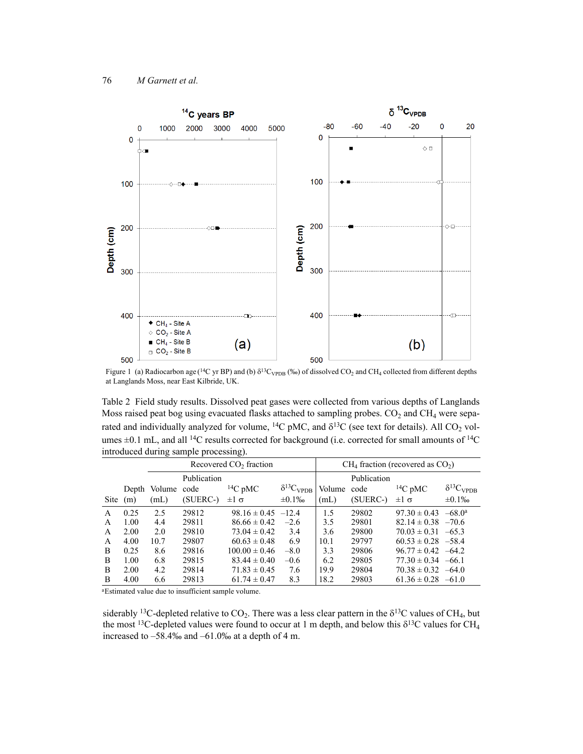

Figure 1 (a) Radiocarbon age (<sup>14</sup>C yr BP) and (b)  $\delta^{13}C_{\text{VPDB}}$  (‰) of dissolved CO<sub>2</sub> and CH<sub>4</sub> collected from different depths at Langlands Moss, near East Kilbride, UK.

Table 2 Field study results. Dissolved peat gases were collected from various depths of Langlands Moss raised peat bog using evacuated flasks attached to sampling probes.  $CO<sub>2</sub>$  and  $CH<sub>4</sub>$  were separated and individually analyzed for volume, <sup>14</sup>C pMC, and  $\delta^{13}C$  (see text for details). All CO<sub>2</sub> volumes  $\pm$ 0.1 mL, and all <sup>14</sup>C results corrected for background (i.e. corrected for small amounts of <sup>14</sup>C introduced during sample processing).

|              |       | Recovered CO <sub>2</sub> fraction |          |                        |                       |             | $CH4$ fraction (recovered as $CO2$ ) |                        |                           |  |
|--------------|-------|------------------------------------|----------|------------------------|-----------------------|-------------|--------------------------------------|------------------------|---------------------------|--|
|              |       | Publication                        |          |                        |                       |             | Publication                          |                        |                           |  |
|              | Depth | Volume code                        |          | $^{14}C$ pMC           | $\delta^{13}C_{VPDB}$ | Volume code |                                      | $14C$ pMC              | $\delta^{13}C_{\rm VPDB}$ |  |
| Site         | (m)   | (mL)                               | (SUERC-) | $±1$ σ                 | $\pm 0.1\%$           | (mL)        | (SUERC-)                             | $±1$ σ                 | $\pm 0.1\%$               |  |
| A            | 0.25  | 2.5                                | 29812    | $98.16 \pm 0.45$ -12.4 |                       | 1.5         | 29802                                | $97.30 \pm 0.43$       | $-68.0a$                  |  |
| A            | 1.00  | 4.4                                | 29811    | $86.66 \pm 0.42$       | $-2.6$                | 3.5         | 29801                                | $82.14 \pm 0.38$ -70.6 |                           |  |
| A            | 2.00  | 2.0                                | 29810    | $73.04 \pm 0.42$       | 3.4                   | 3.6         | 29800                                | $70.03 \pm 0.31$       | $-65.3$                   |  |
| A            | 4.00  | 10.7                               | 29807    | $60.63 \pm 0.48$       | 6.9                   | 10.1        | 29797                                | $60.53 \pm 0.28$ -58.4 |                           |  |
| <sub>B</sub> | 0.25  | 8.6                                | 29816    | $100.00 \pm 0.46$      | $-8.0$                | 3.3         | 29806                                | $96.77 \pm 0.42$ -64.2 |                           |  |
| B            | 1.00  | 6.8                                | 29815    | $83.44 \pm 0.40$       | $-0.6$                | 6.2         | 29805                                | $77.30 \pm 0.34$       | $-66.1$                   |  |
| B            | 2.00  | 4.2                                | 29814    | $71.83 \pm 0.45$       | 7.6                   | 19.9        | 29804                                | $70.38 \pm 0.32 -64.0$ |                           |  |
| B            | 4.00  | 6.6                                | 29813    | $61.74 \pm 0.47$       | 8.3                   | 18.2        | 29803                                | $61.36 \pm 0.28$       | $-61.0$                   |  |

aEstimated value due to insufficient sample volume.

siderably <sup>13</sup>C-depleted relative to  $CO_2$ . There was a less clear pattern in the  $\delta^{13}C$  values of CH<sub>4</sub>, but the most <sup>13</sup>C-depleted values were found to occur at 1 m depth, and below this  $\delta^{13}$ C values for CH<sub>4</sub> increased to –58.4‰ and –61.0‰ at a depth of 4 m.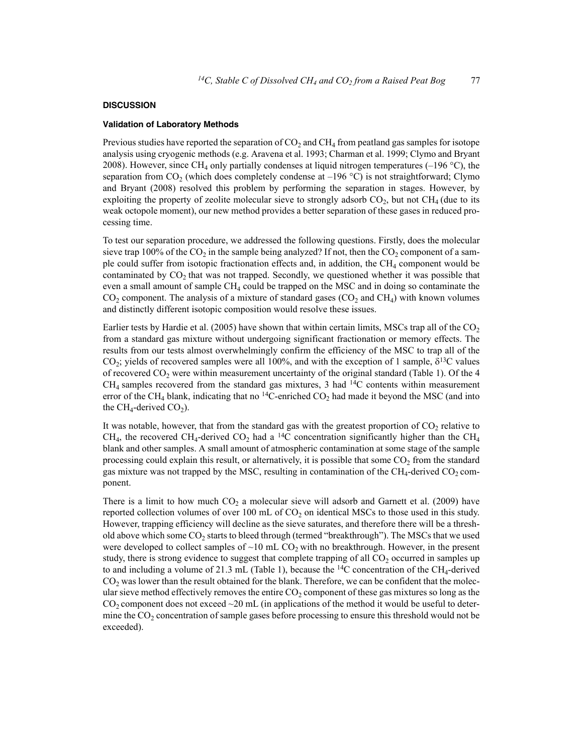### **DISCUSSION**

### **Validation of Laboratory Methods**

Previous studies have reported the separation of  $CO<sub>2</sub>$  and  $CH<sub>4</sub>$  from peatland gas samples for isotope analysis using cryogenic methods (e.g. Aravena et al. 1993; Charman et al. 1999; Clymo and Bryant 2008). However, since CH<sub>4</sub> only partially condenses at liquid nitrogen temperatures  $(-196 \degree C)$ , the separation from CO<sub>2</sub> (which does completely condense at  $-196$  °C) is not straightforward; Clymo and Bryant (2008) resolved this problem by performing the separation in stages. However, by exploiting the property of zeolite molecular sieve to strongly adsorb  $CO<sub>2</sub>$ , but not  $CH<sub>4</sub>$  (due to its weak octopole moment), our new method provides a better separation of these gases in reduced processing time.

To test our separation procedure, we addressed the following questions. Firstly, does the molecular sieve trap 100% of the  $CO<sub>2</sub>$  in the sample being analyzed? If not, then the  $CO<sub>2</sub>$  component of a sample could suffer from isotopic fractionation effects and, in addition, the  $CH<sub>4</sub>$  component would be contaminated by  $CO<sub>2</sub>$  that was not trapped. Secondly, we questioned whether it was possible that even a small amount of sample  $CH_4$  could be trapped on the MSC and in doing so contaminate the  $CO<sub>2</sub>$  component. The analysis of a mixture of standard gases ( $CO<sub>2</sub>$  and  $CH<sub>4</sub>$ ) with known volumes and distinctly different isotopic composition would resolve these issues.

Earlier tests by Hardie et al. (2005) have shown that within certain limits, MSCs trap all of the  $CO<sub>2</sub>$ from a standard gas mixture without undergoing significant fractionation or memory effects. The results from our tests almost overwhelmingly confirm the efficiency of the MSC to trap all of the CO<sub>2</sub>; yields of recovered samples were all 100%, and with the exception of 1 sample,  $\delta^{13}C$  values of recovered  $CO<sub>2</sub>$  were within measurement uncertainty of the original standard (Table 1). Of the 4  $CH<sub>4</sub>$  samples recovered from the standard gas mixtures, 3 had <sup>14</sup>C contents within measurement error of the CH<sub>4</sub> blank, indicating that no <sup>14</sup>C-enriched  $CO<sub>2</sub>$  had made it beyond the MSC (and into the CH<sub>4</sub>-derived CO<sub>2</sub>).

It was notable, however, that from the standard gas with the greatest proportion of  $CO<sub>2</sub>$  relative to CH<sub>4</sub>, the recovered CH<sub>4</sub>-derived CO<sub>2</sub> had a <sup>14</sup>C concentration significantly higher than the CH<sub>4</sub> blank and other samples. A small amount of atmospheric contamination at some stage of the sample processing could explain this result, or alternatively, it is possible that some  $CO<sub>2</sub>$  from the standard gas mixture was not trapped by the MSC, resulting in contamination of the  $CH_4$ -derived  $CO_2$  component.

There is a limit to how much  $CO<sub>2</sub>$  a molecular sieve will adsorb and Garnett et al. (2009) have reported collection volumes of over 100 mL of  $CO<sub>2</sub>$  on identical MSCs to those used in this study. However, trapping efficiency will decline as the sieve saturates, and therefore there will be a threshold above which some  $CO<sub>2</sub>$  starts to bleed through (termed "breakthrough"). The MSCs that we used were developed to collect samples of  $\sim$ 10 mL CO<sub>2</sub> with no breakthrough. However, in the present study, there is strong evidence to suggest that complete trapping of all  $CO<sub>2</sub>$  occurred in samples up to and including a volume of 21.3 mL (Table 1), because the  $^{14}C$  concentration of the CH<sub>4</sub>-derived  $CO<sub>2</sub>$  was lower than the result obtained for the blank. Therefore, we can be confident that the molecular sieve method effectively removes the entire  $CO<sub>2</sub>$  component of these gas mixtures so long as the  $CO<sub>2</sub>$  component does not exceed  $\sim$  20 mL (in applications of the method it would be useful to determine the  $CO<sub>2</sub>$  concentration of sample gases before processing to ensure this threshold would not be exceeded).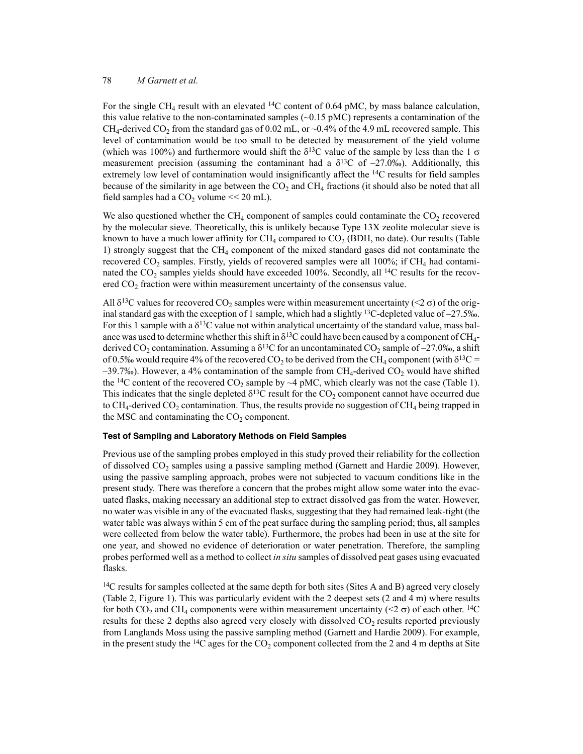For the single CH<sub>4</sub> result with an elevated <sup>14</sup>C content of 0.64 pMC, by mass balance calculation, this value relative to the non-contaminated samples ( $\sim$ 0.15 pMC) represents a contamination of the  $CH_4$ -derived  $CO_2$  from the standard gas of 0.02 mL, or ~0.4% of the 4.9 mL recovered sample. This level of contamination would be too small to be detected by measurement of the yield volume (which was 100%) and furthermore would shift the  $\delta^{13}C$  value of the sample by less than the 1  $\sigma$ measurement precision (assuming the contaminant had a  $\delta^{13}$ C of -27.0‰). Additionally, this extremely low level of contamination would insignificantly affect the <sup>14</sup>C results for field samples because of the similarity in age between the  $CO<sub>2</sub>$  and  $CH<sub>4</sub>$  fractions (it should also be noted that all field samples had a  $CO<sub>2</sub>$  volume  $<< 20$  mL).

We also questioned whether the  $CH_4$  component of samples could contaminate the  $CO_2$  recovered by the molecular sieve. Theoretically, this is unlikely because Type 13X zeolite molecular sieve is known to have a much lower affinity for  $CH_4$  compared to  $CO<sub>2</sub>$  (BDH, no date). Our results (Table 1) strongly suggest that the CH4 component of the mixed standard gases did not contaminate the recovered  $CO_2$  samples. Firstly, yields of recovered samples were all 100%; if CH<sub>4</sub> had contaminated the  $CO<sub>2</sub>$  samples yields should have exceeded 100%. Secondly, all <sup>14</sup>C results for the recovered  $CO<sub>2</sub>$  fraction were within measurement uncertainty of the consensus value.

All  $\delta^{13}$ C values for recovered CO<sub>2</sub> samples were within measurement uncertainty (<2  $\sigma$ ) of the original standard gas with the exception of 1 sample, which had a slightly <sup>13</sup>C-depleted value of  $-27.5\%$ . For this 1 sample with a  $\delta^{13}$ C value not within analytical uncertainty of the standard value, mass balance was used to determine whether this shift in  $\delta^{13}C$  could have been caused by a component of CH<sub>4</sub>derived CO<sub>2</sub> contamination. Assuming a  $\delta^{13}$ C for an uncontaminated CO<sub>2</sub> sample of -27.0‰, a shift of 0.5‰ would require 4% of the recovered CO<sub>2</sub> to be derived from the CH<sub>4</sub> component (with  $\delta^{13}C$  = –39.7‰). However, a 4% contamination of the sample from CH<sub>4</sub>-derived CO<sub>2</sub> would have shifted the <sup>14</sup>C content of the recovered CO<sub>2</sub> sample by  $\sim$ 4 pMC, which clearly was not the case (Table 1). This indicates that the single depleted  $\delta^{13}$ C result for the CO<sub>2</sub> component cannot have occurred due to  $CH_4$ -derived  $CO_2$  contamination. Thus, the results provide no suggestion of  $CH_4$  being trapped in the MSC and contaminating the  $CO<sub>2</sub>$  component.

### **Test of Sampling and Laboratory Methods on Field Samples**

Previous use of the sampling probes employed in this study proved their reliability for the collection of dissolved  $CO_2$  samples using a passive sampling method (Garnett and Hardie 2009). However, using the passive sampling approach, probes were not subjected to vacuum conditions like in the present study. There was therefore a concern that the probes might allow some water into the evacuated flasks, making necessary an additional step to extract dissolved gas from the water. However, no water was visible in any of the evacuated flasks, suggesting that they had remained leak-tight (the water table was always within 5 cm of the peat surface during the sampling period; thus, all samples were collected from below the water table). Furthermore, the probes had been in use at the site for one year, and showed no evidence of deterioration or water penetration. Therefore, the sampling probes performed well as a method to collect *in situ* samples of dissolved peat gases using evacuated flasks.

<sup>14</sup>C results for samples collected at the same depth for both sites (Sites A and B) agreed very closely (Table 2, Figure 1). This was particularly evident with the 2 deepest sets (2 and 4 m) where results for both  $CO_2$  and CH<sub>4</sub> components were within measurement uncertainty (<2  $\sigma$ ) of each other. <sup>14</sup>C results for these 2 depths also agreed very closely with dissolved  $CO<sub>2</sub>$  results reported previously from Langlands Moss using the passive sampling method (Garnett and Hardie 2009). For example, in the present study the  $^{14}C$  ages for the  $CO_2$  component collected from the 2 and 4 m depths at Site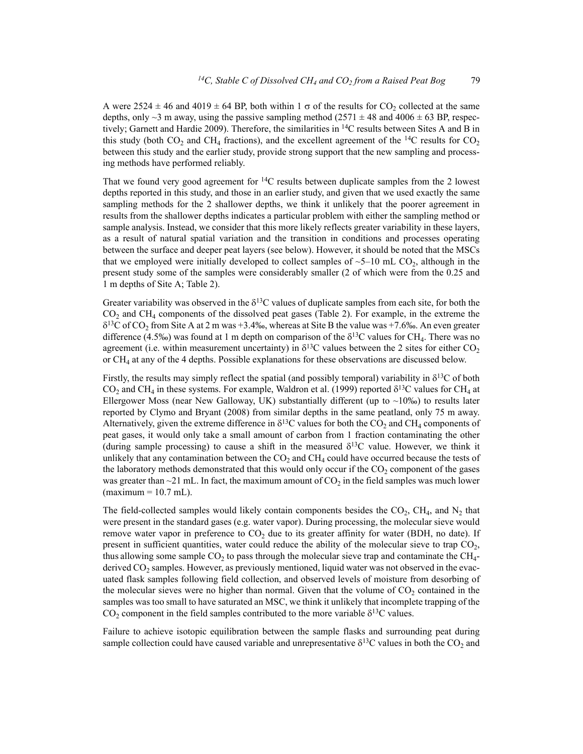A were  $2524 \pm 46$  and  $4019 \pm 64$  BP, both within 1  $\sigma$  of the results for CO<sub>2</sub> collected at the same depths, only  $\sim$ 3 m away, using the passive sampling method (2571  $\pm$  48 and 4006  $\pm$  63 BP, respectively; Garnett and Hardie 2009). Therefore, the similarities in 14C results between Sites A and B in this study (both  $CO_2$  and  $CH_4$  fractions), and the excellent agreement of the <sup>14</sup>C results for  $CO_2$ between this study and the earlier study, provide strong support that the new sampling and processing methods have performed reliably.

That we found very good agreement for  ${}^{14}C$  results between duplicate samples from the 2 lowest depths reported in this study, and those in an earlier study, and given that we used exactly the same sampling methods for the 2 shallower depths, we think it unlikely that the poorer agreement in results from the shallower depths indicates a particular problem with either the sampling method or sample analysis. Instead, we consider that this more likely reflects greater variability in these layers, as a result of natural spatial variation and the transition in conditions and processes operating between the surface and deeper peat layers (see below). However, it should be noted that the MSCs that we employed were initially developed to collect samples of  $\sim$  5–10 mL CO<sub>2</sub>, although in the present study some of the samples were considerably smaller (2 of which were from the 0.25 and 1 m depths of Site A; Table 2).

Greater variability was observed in the  $\delta^{13}$ C values of duplicate samples from each site, for both the  $CO<sub>2</sub>$  and CH<sub>4</sub> components of the dissolved peat gases (Table 2). For example, in the extreme the  $\delta^{13}$ C of CO<sub>2</sub> from Site A at 2 m was +3.4‰, whereas at Site B the value was +7.6‰. An even greater difference (4.5‰) was found at 1 m depth on comparison of the  $\delta^{13}C$  values for CH<sub>4</sub>. There was no agreement (i.e. within measurement uncertainty) in  $\delta^{13}$ C values between the 2 sites for either CO<sub>2</sub> or CH4 at any of the 4 depths. Possible explanations for these observations are discussed below.

Firstly, the results may simply reflect the spatial (and possibly temporal) variability in  $\delta^{13}C$  of both CO<sub>2</sub> and CH<sub>4</sub> in these systems. For example, Waldron et al. (1999) reported  $\delta^{13}$ C values for CH<sub>4</sub> at Ellergower Moss (near New Galloway, UK) substantially different (up to  $~10\%$ ) to results later reported by Clymo and Bryant (2008) from similar depths in the same peatland, only 75 m away. Alternatively, given the extreme difference in  $\delta^{13}C$  values for both the CO<sub>2</sub> and CH<sub>4</sub> components of peat gases, it would only take a small amount of carbon from 1 fraction contaminating the other (during sample processing) to cause a shift in the measured  $\delta^{13}$ C value. However, we think it unlikely that any contamination between the  $CO<sub>2</sub>$  and  $CH<sub>4</sub>$  could have occurred because the tests of the laboratory methods demonstrated that this would only occur if the  $CO<sub>2</sub>$  component of the gases was greater than  $\sim$ 21 mL. In fact, the maximum amount of CO<sub>2</sub> in the field samples was much lower  $(maximum = 10.7 mL)$ .

The field-collected samples would likely contain components besides the  $CO<sub>2</sub>$ , CH<sub>4</sub>, and N<sub>2</sub> that were present in the standard gases (e.g. water vapor). During processing, the molecular sieve would remove water vapor in preference to  $CO<sub>2</sub>$  due to its greater affinity for water (BDH, no date). If present in sufficient quantities, water could reduce the ability of the molecular sieve to trap  $CO<sub>2</sub>$ , thus allowing some sample  $CO<sub>2</sub>$  to pass through the molecular sieve trap and contaminate the  $CH<sub>4</sub>$ derived  $CO<sub>2</sub>$  samples. However, as previously mentioned, liquid water was not observed in the evacuated flask samples following field collection, and observed levels of moisture from desorbing of the molecular sieves were no higher than normal. Given that the volume of  $CO<sub>2</sub>$  contained in the samples was too small to have saturated an MSC, we think it unlikely that incomplete trapping of the  $CO<sub>2</sub>$  component in the field samples contributed to the more variable  $\delta^{13}$ C values.

Failure to achieve isotopic equilibration between the sample flasks and surrounding peat during sample collection could have caused variable and unrepresentative  $\delta^{13}$ C values in both the CO<sub>2</sub> and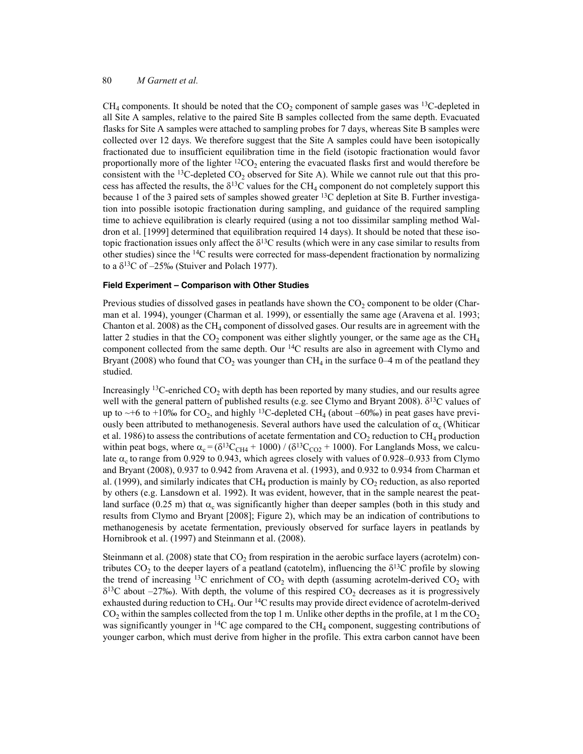$CH<sub>4</sub>$  components. It should be noted that the  $CO<sub>2</sub>$  component of sample gases was <sup>13</sup>C-depleted in all Site A samples, relative to the paired Site B samples collected from the same depth. Evacuated flasks for Site A samples were attached to sampling probes for 7 days, whereas Site B samples were collected over 12 days. We therefore suggest that the Site A samples could have been isotopically fractionated due to insufficient equilibration time in the field (isotopic fractionation would favor proportionally more of the lighter  ${}^{12}CO_2$  entering the evacuated flasks first and would therefore be consistent with the <sup>13</sup>C-depleted  $CO_2$  observed for Site A). While we cannot rule out that this process has affected the results, the  $\delta^{13}C$  values for the CH<sub>4</sub> component do not completely support this because 1 of the 3 paired sets of samples showed greater 13C depletion at Site B. Further investigation into possible isotopic fractionation during sampling, and guidance of the required sampling time to achieve equilibration is clearly required (using a not too dissimilar sampling method Waldron et al. [1999] determined that equilibration required 14 days). It should be noted that these isotopic fractionation issues only affect the  $\delta^{13}$ C results (which were in any case similar to results from other studies) since the 14C results were corrected for mass-dependent fractionation by normalizing to a  $\delta^{13}$ C of –25‰ (Stuiver and Polach 1977).

### **Field Experiment – Comparison with Other Studies**

Previous studies of dissolved gases in peatlands have shown the  $CO<sub>2</sub>$  component to be older (Charman et al. 1994), younger (Charman et al. 1999), or essentially the same age (Aravena et al. 1993; Chanton et al. 2008) as the  $CH_4$  component of dissolved gases. Our results are in agreement with the latter 2 studies in that the  $CO<sub>2</sub>$  component was either slightly younger, or the same age as the  $CH<sub>4</sub>$ component collected from the same depth. Our  $^{14}C$  results are also in agreement with Clymo and Bryant (2008) who found that  $CO_2$  was younger than  $CH_4$  in the surface 0–4 m of the peatland they studied.

Increasingly <sup>13</sup>C-enriched  $CO<sub>2</sub>$  with depth has been reported by many studies, and our results agree well with the general pattern of published results (e.g. see Clymo and Bryant 2008).  $\delta^{13}$ C values of up to  $\sim$ +6 to +10‰ for CO<sub>2</sub>, and highly <sup>13</sup>C-depleted CH<sub>4</sub> (about –60‰) in peat gases have previously been attributed to methanogenesis. Several authors have used the calculation of  $\alpha_c$  (Whiticar et al. 1986) to assess the contributions of acetate fermentation and  $CO_2$  reduction to  $CH_4$  production within peat bogs, where  $\alpha_c = (\delta^{13}C_{CH4} + 1000) / (\delta^{13}C_{CO2} + 1000)$ . For Langlands Moss, we calculate  $\alpha_c$  to range from 0.929 to 0.943, which agrees closely with values of 0.928–0.933 from Clymo and Bryant (2008), 0.937 to 0.942 from Aravena et al. (1993), and 0.932 to 0.934 from Charman et al. (1999), and similarly indicates that  $CH_4$  production is mainly by  $CO_2$  reduction, as also reported by others (e.g. Lansdown et al. 1992). It was evident, however, that in the sample nearest the peatland surface (0.25 m) that  $\alpha_c$  was significantly higher than deeper samples (both in this study and results from Clymo and Bryant [2008]; Figure 2), which may be an indication of contributions to methanogenesis by acetate fermentation, previously observed for surface layers in peatlands by Hornibrook et al. (1997) and Steinmann et al. (2008).

Steinmann et al. (2008) state that  $CO<sub>2</sub>$  from respiration in the aerobic surface layers (acrotelm) contributes  $CO_2$  to the deeper layers of a peatland (catotelm), influencing the  $\delta^{13}C$  profile by slowing the trend of increasing <sup>13</sup>C enrichment of  $CO<sub>2</sub>$  with depth (assuming acrotelm-derived  $CO<sub>2</sub>$  with  $\delta^{13}$ C about –27‰). With depth, the volume of this respired CO<sub>2</sub> decreases as it is progressively exhausted during reduction to CH4. Our 14C results may provide direct evidence of acrotelm-derived  $CO<sub>2</sub>$  within the samples collected from the top 1 m. Unlike other depths in the profile, at 1 m the  $CO<sub>2</sub>$ was significantly younger in <sup>14</sup>C age compared to the CH<sub>4</sub> component, suggesting contributions of younger carbon, which must derive from higher in the profile. This extra carbon cannot have been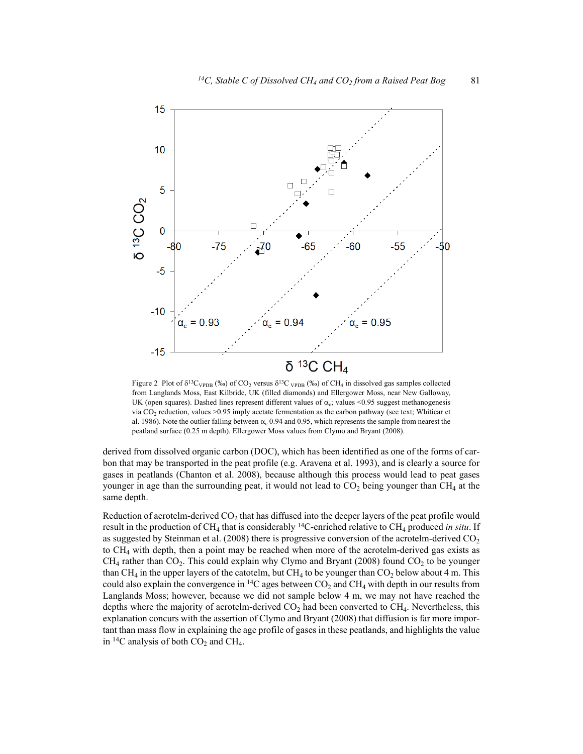

Figure 2 Plot of  $\delta^{13}C_{\text{VPDB}}$  (‰) of CO<sub>2</sub> versus  $\delta^{13}C_{\text{VPDB}}$  (‰) of CH<sub>4</sub> in dissolved gas samples collected from Langlands Moss, East Kilbride, UK (filled diamonds) and Ellergower Moss, near New Galloway, UK (open squares). Dashed lines represent different values of  $\alpha_c$ ; values <0.95 suggest methanogenesis via  $CO<sub>2</sub>$  reduction, values >0.95 imply acetate fermentation as the carbon pathway (see text; Whiticar et al. 1986). Note the outlier falling between  $\alpha_c$  0.94 and 0.95, which represents the sample from nearest the peatland surface (0.25 m depth). Ellergower Moss values from Clymo and Bryant (2008).

derived from dissolved organic carbon (DOC), which has been identified as one of the forms of carbon that may be transported in the peat profile (e.g. Aravena et al. 1993), and is clearly a source for gases in peatlands (Chanton et al. 2008), because although this process would lead to peat gases younger in age than the surrounding peat, it would not lead to  $CO<sub>2</sub>$  being younger than CH<sub>4</sub> at the same depth.

Reduction of acrotelm-derived  $CO<sub>2</sub>$  that has diffused into the deeper layers of the peat profile would result in the production of  $CH_4$  that is considerably <sup>14</sup>C-enriched relative to  $CH_4$  produced *in situ*. If as suggested by Steinman et al. (2008) there is progressive conversion of the acrotelm-derived  $CO<sub>2</sub>$ to  $CH<sub>4</sub>$  with depth, then a point may be reached when more of the acrotelm-derived gas exists as  $CH<sub>4</sub>$  rather than  $CO<sub>2</sub>$ . This could explain why Clymo and Bryant (2008) found  $CO<sub>2</sub>$  to be younger than  $CH_4$  in the upper layers of the catotelm, but  $CH_4$  to be younger than  $CO_2$  below about 4 m. This could also explain the convergence in  $^{14}C$  ages between  $CO_2$  and CH<sub>4</sub> with depth in our results from Langlands Moss; however, because we did not sample below 4 m, we may not have reached the depths where the majority of acrotelm-derived  $CO<sub>2</sub>$  had been converted to  $CH<sub>4</sub>$ . Nevertheless, this explanation concurs with the assertion of Clymo and Bryant (2008) that diffusion is far more important than mass flow in explaining the age profile of gases in these peatlands, and highlights the value in  ${}^{14}C$  analysis of both  $CO_2$  and CH<sub>4</sub>.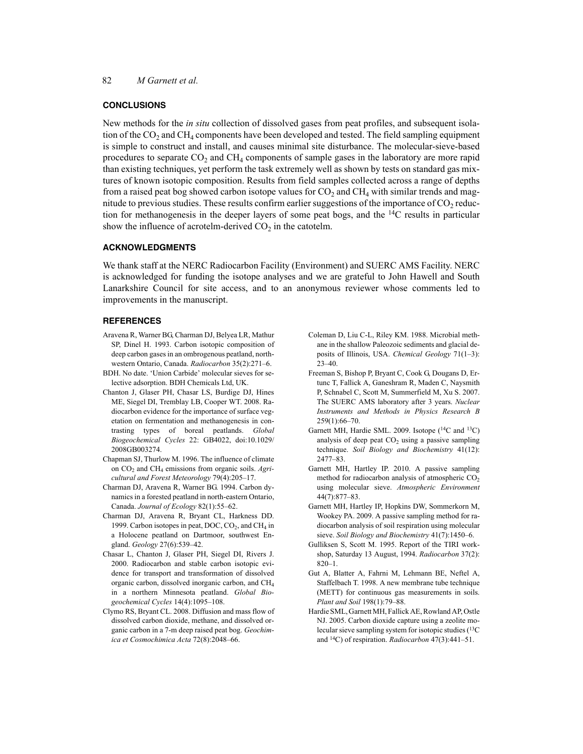### **CONCLUSIONS**

New methods for the *in situ* collection of dissolved gases from peat profiles, and subsequent isolation of the  $CO<sub>2</sub>$  and  $CH<sub>4</sub>$  components have been developed and tested. The field sampling equipment is simple to construct and install, and causes minimal site disturbance. The molecular-sieve-based procedures to separate  $CO<sub>2</sub>$  and  $CH<sub>4</sub>$  components of sample gases in the laboratory are more rapid than existing techniques, yet perform the task extremely well as shown by tests on standard gas mixtures of known isotopic composition. Results from field samples collected across a range of depths from a raised peat bog showed carbon isotope values for  $CO<sub>2</sub>$  and  $CH<sub>4</sub>$  with similar trends and magnitude to previous studies. These results confirm earlier suggestions of the importance of  $CO<sub>2</sub>$  reduction for methanogenesis in the deeper layers of some peat bogs, and the 14C results in particular show the influence of acrotelm-derived  $CO<sub>2</sub>$  in the catotelm.

# **ACKNOWLEDGMENTS**

We thank staff at the NERC Radiocarbon Facility (Environment) and SUERC AMS Facility. NERC is acknowledged for funding the isotope analyses and we are grateful to John Hawell and South Lanarkshire Council for site access, and to an anonymous reviewer whose comments led to improvements in the manuscript.

#### **REFERENCES**

- Aravena R, Warner BG, Charman DJ, Belyea LR, Mathur SP, Dinel H. 1993. Carbon isotopic composition of deep carbon gases in an ombrogenous peatland, northwestern Ontario, Canada. *Radiocarbon* 35(2):271–6.
- BDH. No date. 'Union Carbide' molecular sieves for selective adsorption. BDH Chemicals Ltd, UK.
- Chanton J, Glaser PH, Chasar LS, Burdige DJ, Hines ME, Siegel DI, Tremblay LB, Cooper WT. 2008. Radiocarbon evidence for the importance of surface vegetation on fermentation and methanogenesis in contrasting types of boreal peatlands. *Global Biogeochemical Cycles* 22: GB4022, doi:10.1029/ 2008GB003274.
- Chapman SJ, Thurlow M. 1996. The influence of climate on CO<sub>2</sub> and CH<sub>4</sub> emissions from organic soils. *Agricultural and Forest Meteorology* 79(4):205–17.
- Charman DJ, Aravena R, Warner BG. 1994. Carbon dynamics in a forested peatland in north-eastern Ontario, Canada. *Journal of Ecology* 82(1):55–62.
- Charman DJ, Aravena R, Bryant CL, Harkness DD. 1999. Carbon isotopes in peat, DOC,  $CO<sub>2</sub>$ , and  $CH<sub>4</sub>$  in a Holocene peatland on Dartmoor, southwest England. *Geology* 27(6):539–42.
- Chasar L, Chanton J, Glaser PH, Siegel DI, Rivers J. 2000. Radiocarbon and stable carbon isotopic evidence for transport and transformation of dissolved organic carbon, dissolved inorganic carbon, and  $CH<sub>4</sub>$ in a northern Minnesota peatland. *Global Biogeochemical Cycles* 14(4):1095–108.
- Clymo RS, Bryant CL. 2008. Diffusion and mass flow of dissolved carbon dioxide, methane, and dissolved organic carbon in a 7-m deep raised peat bog. *Geochimica et Cosmochimica Acta* 72(8):2048–66.
- Coleman D, Liu C-L, Riley KM. 1988. Microbial methane in the shallow Paleozoic sediments and glacial deposits of Illinois, USA. *Chemical Geology* 71(1–3): 23–40.
- Freeman S, Bishop P, Bryant C, Cook G, Dougans D, Ertunc T, Fallick A, Ganeshram R, Maden C, Naysmith P, Schnabel C, Scott M, Summerfield M, Xu S. 2007. The SUERC AMS laboratory after 3 years. *Nuclear Instruments and Methods in Physics Research B* 259(1):66–70.
- Garnett MH, Hardie SML. 2009. Isotope  $(^{14}C$  and  $^{13}C)$ analysis of deep peat  $CO<sub>2</sub>$  using a passive sampling technique. *Soil Biology and Biochemistry* 41(12): 2477–83.
- Garnett MH, Hartley IP. 2010. A passive sampling method for radiocarbon analysis of atmospheric  $CO<sub>2</sub>$ using molecular sieve. *Atmospheric Environment* 44(7):877–83.
- Garnett MH, Hartley IP, Hopkins DW, Sommerkorn M, Wookey PA. 2009. A passive sampling method for radiocarbon analysis of soil respiration using molecular sieve. *Soil Biology and Biochemistry* 41(7):1450–6.
- Gulliksen S, Scott M. 1995. Report of the TIRI workshop, Saturday 13 August, 1994. *Radiocarbon* 37(2): 820–1.
- Gut A, Blatter A, Fahrni M, Lehmann BE, Neftel A, Staffelbach T. 1998. A new membrane tube technique (METT) for continuous gas measurements in soils. *Plant and Soil* 198(1):79–88.
- Hardie SML, Garnett MH, Fallick AE, Rowland AP, Ostle NJ. 2005. Carbon dioxide capture using a zeolite molecular sieve sampling system for isotopic studies  $(^{13}C)$ and 14C) of respiration. *Radiocarbon* 47(3):441–51.